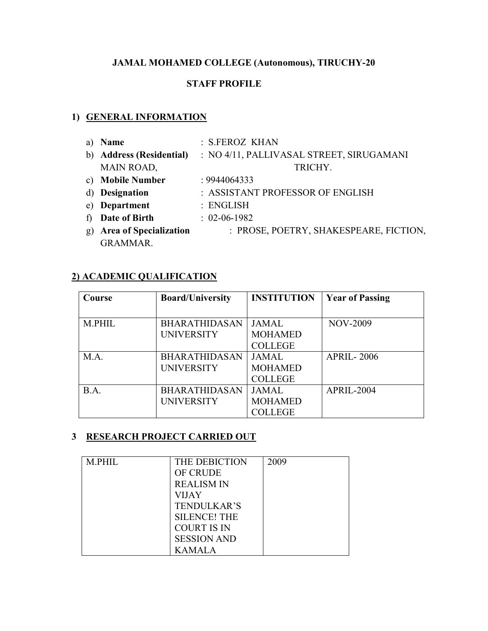# **JAMAL MOHAMED COLLEGE (Autonomous), TIRUCHY-20**

# **STAFF PROFILE**

# **1) GENERAL INFORMATION**

a) **Name** : S.FEROZ KHAN b) **Address (Residential)** : NO 4/11, PALLIVASAL STREET, SIRUGAMANI MAIN ROAD, TRICHY. c) **Mobile Number** : 9944064333 d) **Designation** : ASSISTANT PROFESSOR OF ENGLISH e) **Department** : ENGLISH f) **Date of Birth** : 02-06-1982 g) **Area of Specialization** : PROSE, POETRY, SHAKESPEARE, FICTION, GRAMMAR.

# **2) ACADEMIC QUALIFICATION**

| Course | <b>Board/University</b> | <b>INSTITUTION</b> | <b>Year of Passing</b> |
|--------|-------------------------|--------------------|------------------------|
|        |                         |                    |                        |
| M.PHIL | <b>BHARATHIDASAN</b>    | <b>JAMAL</b>       | <b>NOV-2009</b>        |
|        | <b>UNIVERSITY</b>       | <b>MOHAMED</b>     |                        |
|        |                         | <b>COLLEGE</b>     |                        |
| M.A.   | <b>BHARATHIDASAN</b>    | <b>JAMAL</b>       | <b>APRIL-2006</b>      |
|        | <b>UNIVERSITY</b>       | <b>MOHAMED</b>     |                        |
|        |                         | <b>COLLEGE</b>     |                        |
| B.A.   | <b>BHARATHIDASAN</b>    | <b>JAMAL</b>       | <b>APRIL-2004</b>      |
|        | <b>UNIVERSITY</b>       | <b>MOHAMED</b>     |                        |
|        |                         | COLLEGE            |                        |

# **3 RESEARCH PROJECT CARRIED OUT**

| <b>M.PHIL</b> | THE DEBICTION       | 2009 |
|---------------|---------------------|------|
|               | <b>OF CRUDE</b>     |      |
|               | <b>REALISM IN</b>   |      |
|               | <b>VIJAY</b>        |      |
|               | <b>TENDULKAR'S</b>  |      |
|               | <b>SILENCE! THE</b> |      |
|               | <b>COURT IS IN</b>  |      |
|               | <b>SESSION AND</b>  |      |
|               | <b>KAMALA</b>       |      |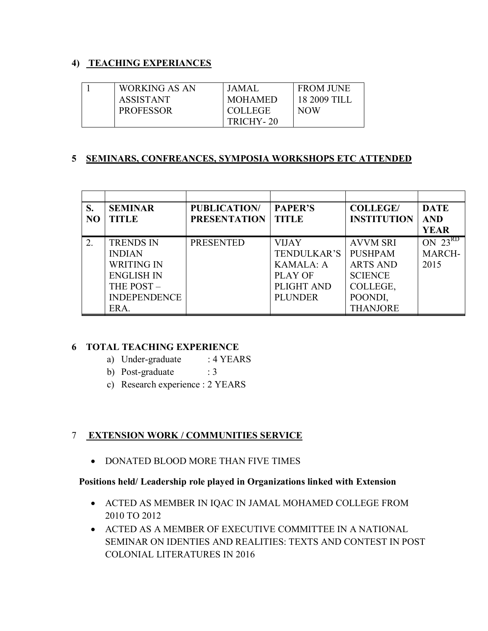# **4) TEACHING EXPERIANCES**

| <b>WORKING AS AN</b> | JAMAL          | <b>FROM JUNE</b> |
|----------------------|----------------|------------------|
| <b>ASSISTANT</b>     | <b>MOHAMED</b> | 18 2009 TILI     |
| <b>PROFESSOR</b>     | <b>COLLEGE</b> | NOW              |
|                      | TRICHY-20      |                  |

# **5 SEMINARS, CONFREANCES, SYMPOSIA WORKSHOPS ETC ATTENDED**

| S.             | <b>SEMINAR</b>      | <b>PUBLICATION/</b> | <b>PAPER'S</b>   | <b>COLLEGE/</b>    | <b>DATE</b>               |
|----------------|---------------------|---------------------|------------------|--------------------|---------------------------|
| N <sub>O</sub> | <b>TITLE</b>        | <b>PRESENTATION</b> | <b>TITLE</b>     | <b>INSTITUTION</b> | <b>AND</b>                |
|                |                     |                     |                  |                    | <b>YEAR</b>               |
| 2.             | <b>TRENDS IN</b>    | <b>PRESENTED</b>    | <b>VIJAY</b>     | <b>AVVM SRI</b>    | $ON$ $\overline{23}^{RD}$ |
|                | <b>INDIAN</b>       |                     | TENDULKAR'S      | <b>PUSHPAM</b>     | <b>MARCH-</b>             |
|                | <b>WRITING IN</b>   |                     | <b>KAMALA: A</b> | <b>ARTS AND</b>    | 2015                      |
|                | <b>ENGLISH IN</b>   |                     | PLAY OF          | <b>SCIENCE</b>     |                           |
|                | THE POST-           |                     | PLIGHT AND       | COLLEGE,           |                           |
|                | <b>INDEPENDENCE</b> |                     | <b>PLUNDER</b>   | POONDI,            |                           |
|                | ERA.                |                     |                  | <b>THANJORE</b>    |                           |

# **6 TOTAL TEACHING EXPERIENCE**

- a) Under-graduate : 4 YEARS
- b) Post-graduate : 3
- c) Research experience : 2 YEARS

# 7 **EXTENSION WORK / COMMUNITIES SERVICE**

• DONATED BLOOD MORE THAN FIVE TIMES

# **Positions held/ Leadership role played in Organizations linked with Extension**

- ACTED AS MEMBER IN IQAC IN JAMAL MOHAMED COLLEGE FROM 2010 TO 2012
- ACTED AS A MEMBER OF EXECUTIVE COMMITTEE IN A NATIONAL SEMINAR ON IDENTIES AND REALITIES: TEXTS AND CONTEST IN POST COLONIAL LITERATURES IN 2016